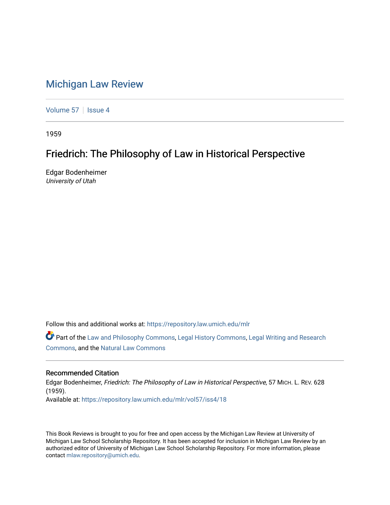## [Michigan Law Review](https://repository.law.umich.edu/mlr)

[Volume 57](https://repository.law.umich.edu/mlr/vol57) | [Issue 4](https://repository.law.umich.edu/mlr/vol57/iss4)

1959

## Friedrich: The Philosophy of Law in Historical Perspective

Edgar Bodenheimer University of Utah

Follow this and additional works at: [https://repository.law.umich.edu/mlr](https://repository.law.umich.edu/mlr?utm_source=repository.law.umich.edu%2Fmlr%2Fvol57%2Fiss4%2F18&utm_medium=PDF&utm_campaign=PDFCoverPages) 

Part of the [Law and Philosophy Commons,](http://network.bepress.com/hgg/discipline/1299?utm_source=repository.law.umich.edu%2Fmlr%2Fvol57%2Fiss4%2F18&utm_medium=PDF&utm_campaign=PDFCoverPages) [Legal History Commons](http://network.bepress.com/hgg/discipline/904?utm_source=repository.law.umich.edu%2Fmlr%2Fvol57%2Fiss4%2F18&utm_medium=PDF&utm_campaign=PDFCoverPages), [Legal Writing and Research](http://network.bepress.com/hgg/discipline/614?utm_source=repository.law.umich.edu%2Fmlr%2Fvol57%2Fiss4%2F18&utm_medium=PDF&utm_campaign=PDFCoverPages)  [Commons](http://network.bepress.com/hgg/discipline/614?utm_source=repository.law.umich.edu%2Fmlr%2Fvol57%2Fiss4%2F18&utm_medium=PDF&utm_campaign=PDFCoverPages), and the [Natural Law Commons](http://network.bepress.com/hgg/discipline/1263?utm_source=repository.law.umich.edu%2Fmlr%2Fvol57%2Fiss4%2F18&utm_medium=PDF&utm_campaign=PDFCoverPages) 

## Recommended Citation

Edgar Bodenheimer, Friedrich: The Philosophy of Law in Historical Perspective, 57 MICH. L. REV. 628 (1959). Available at: [https://repository.law.umich.edu/mlr/vol57/iss4/18](https://repository.law.umich.edu/mlr/vol57/iss4/18?utm_source=repository.law.umich.edu%2Fmlr%2Fvol57%2Fiss4%2F18&utm_medium=PDF&utm_campaign=PDFCoverPages) 

This Book Reviews is brought to you for free and open access by the Michigan Law Review at University of Michigan Law School Scholarship Repository. It has been accepted for inclusion in Michigan Law Review by an authorized editor of University of Michigan Law School Scholarship Repository. For more information, please contact [mlaw.repository@umich.edu](mailto:mlaw.repository@umich.edu).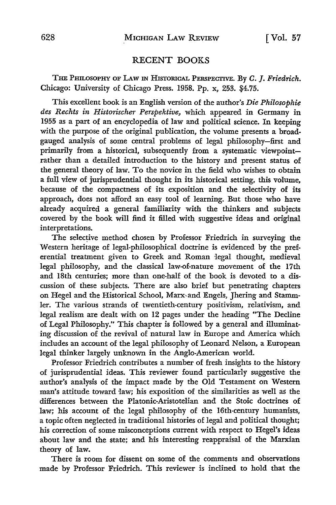## RECENT BOOKS

THE PHILOSOPHY OF LAw IN HISTORICAL PERSPECTIVE. By *C.* J. *Friedrich.*  Chicago: University of Chicago Press. 1958. Pp. *x,* 253. \$4.75.

This excellent book is an English version of the author's *Die Philosophie des Rechts in Historischer Perspektive,* which appeared in Germany in 1955 as a part of an encyclopedia of law and political science. In keeping with the purpose of the original publication, the volume presents a broadgauged analysis of some central problems of legal philosophy-first and primarily from a historical, subsequently from a systematic viewpointrather than a detailed introduction to the history and present status of the general theory of law. To the novice in the field who wishes to obtain a full view of jurisprudential thought in its historical setting, this volume, because of the compactness of its exposition and the selectivity of its approach, does not afford an easy tool of learning. But those who have already acquired a general familiarity with the thinkers and subjects covered by the book will find it filled with suggestive ideas and original interpretations.

The selective method chosen by Professor Friedrich in surveying the Western heritage of legal-philosophical doctrine is evidenced by the preferential treatment given to Greek and Roman legal thought, medieval legal philosophy, and the classical law-of-nature movement of the 17th and 18th centuries; more than one-half of the book is devoted to a discussion of these subjects. There are also brief but penetrating chapters on Hegel and the Historical School, Marx and Engels, Thering and Stammler. The various strands of twentieth-century positivism, relativism, and legal realism are dealt with on 12 pages under the heading "The Decline of Legal Philosophy." This chapter is followed by a general and illuminating discussion of the revival of natural law in Europe and America which includes an account of the legal philosophy of Leonard Nelson, a European legal thinker largely unknown in the Anglo-American world.

Professor Friedrich contributes a number of fresh insights to the history of jurisprudential ideas. This reviewer found particularly suggestive the author's analysis of the impact made by the Old Testament on Western man's attitude toward law; his exposition of the similarities as well as the differences between the Platonic-Aristotelian and the Stoic doctrines of law; his account of the legal philosophy of the 16th-century humanists, a topic often neglected in traditional histories of legal and political thought; his correction of some misconceptions current with respect to Hegel's ideas about law and the state; and his interesting reappraisal of the Marxian theory of law.

There is room for dissent on some of the comments and observations made by Professor Friedrich. This reviewer is inclined to hold that the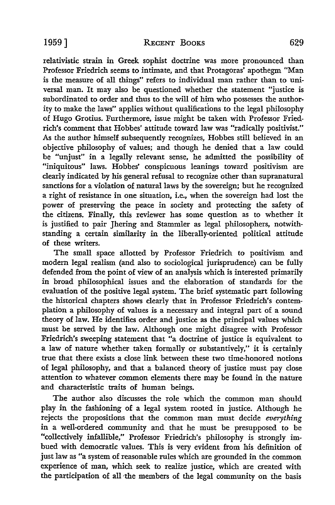relativistic strain in Greek sophist doctrine was more pronounced than Professor Friedrich seems to intimate, and that Protagoras' apothegm "Man is the measure of all things" refers to individual man rather than to universal man. It may also be questioned whether the statement "justice is subordinated to order and thus to the will of him who possesses the authority to make the laws" applies without qualifications to the legal philosophy of Hugo Grotius. Furthermore, issue might be taken with Professor Friedrich's comment that Hobbes' attitude toward law was "radically positivist." As the author himself subsequently recognizes, Hobbes still believed in an objective philosophy of values; and though he denied that a law could be "unjust" in a legally relevant sense, he admitted the possibility of "iniquitous" laws. Hobbes' conspicuous leanings toward positivism are clearly indicated by his general refusal to recognize other than supranatural sanctions for a violation of natural laws by the sovereign; but he recognized a right of resistance in one situation, i.e., when the sovereign had lost the power of preserving the peace in society and protecting the safety of the citizens. Finally, this reviewer has some question as to whether it is justified to pair Jhering and Stammler as legal philosophers, notwithstanding a certain similarity in the liberally-oriented political attitude of these writers.

The small space allotted by Professor Friedrich to positivism and modem legal realism (and also to sociological jurisprudence) can be fully defended from the point of view of an analysis which is interested primarily in broad philosophical issues and the elaboration of standards for the evaluation of the positive legal system. The brief systematic part following the historical chapters shows clearly that in Professor Friedrich's contemplation a philosophy of values is a necessary and integral part of a sound theory of law. He identifies order and justice as the principal values which must be served by the law. Although one might disagree with Professor Friedrich's sweeping statement that "a doctrine of justice is equivalent to a law of nature whether taken formally or substantively," it is certainly true that there exists a close link between these two time-honored notions of legal philosophy, and that a balanced theory of justice must pay close attention to whatever common elements there may be found in the nature and characteristic traits of human beings.

The author also discusses the role which the common man should play in the fashioning of a legal system rooted in justice. Although he rejects the propositions that the common man must decide *everything*  in a well-ordered community and that he must be presupposed to be "collectively infallible," Professor Friedrich's philosophy is strongly imbued with democratic values. This is very evident from his definition of just law as "a system of reasonable rules which are grounded in the common experience of man, which seek to realize justice, which are created with the participation of all 'the members of the legal community on the basis